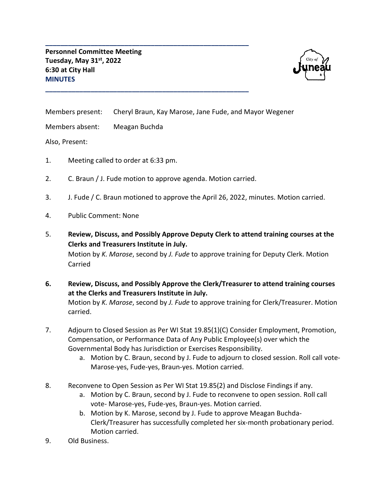

Members present: Cheryl Braun, Kay Marose, Jane Fude, and Mayor Wegener

Members absent: Meagan Buchda

Also, Present:

- 1. Meeting called to order at 6:33 pm.
- 2. C. Braun / J. Fude motion to approve agenda. Motion carried.

**\_\_\_\_\_\_\_\_\_\_\_\_\_\_\_\_\_\_\_\_\_\_\_\_\_\_\_\_\_\_\_\_\_\_\_\_\_\_\_\_\_\_\_\_\_\_\_\_\_\_\_\_\_\_**

**\_\_\_\_\_\_\_\_\_\_\_\_\_\_\_\_\_\_\_\_\_\_\_\_\_\_\_\_\_\_\_\_\_\_\_\_\_\_\_\_\_\_\_\_\_\_\_\_\_\_\_\_\_\_**

- 3. J. Fude / C. Braun motioned to approve the April 26, 2022, minutes. Motion carried.
- 4. Public Comment: None
- 5. **Review, Discuss, and Possibly Approve Deputy Clerk to attend training courses at the Clerks and Treasurers Institute in July.**

Motion by *K. Marose*, second by *J. Fude* to approve training for Deputy Clerk. Motion Carried

**6. Review, Discuss, and Possibly Approve the Clerk/Treasurer to attend training courses at the Clerks and Treasurers Institute in July.** Motion by *K. Marose*, second by *J. Fude* to approve training for Clerk/Treasurer. Motion carried.

- 7. Adjourn to Closed Session as Per WI Stat 19.85(1)(C) Consider Employment, Promotion, Compensation, or Performance Data of Any Public Employee(s) over which the Governmental Body has Jurisdiction or Exercises Responsibility.
	- a. Motion by C. Braun, second by J. Fude to adjourn to closed session. Roll call vote-Marose-yes, Fude-yes, Braun-yes. Motion carried.
- 8. Reconvene to Open Session as Per WI Stat 19.85(2) and Disclose Findings if any.
	- a. Motion by C. Braun, second by J. Fude to reconvene to open session. Roll call vote- Marose-yes, Fude-yes, Braun-yes. Motion carried.
	- b. Motion by K. Marose, second by J. Fude to approve Meagan Buchda-Clerk/Treasurer has successfully completed her six-month probationary period. Motion carried.
- 9. Old Business.